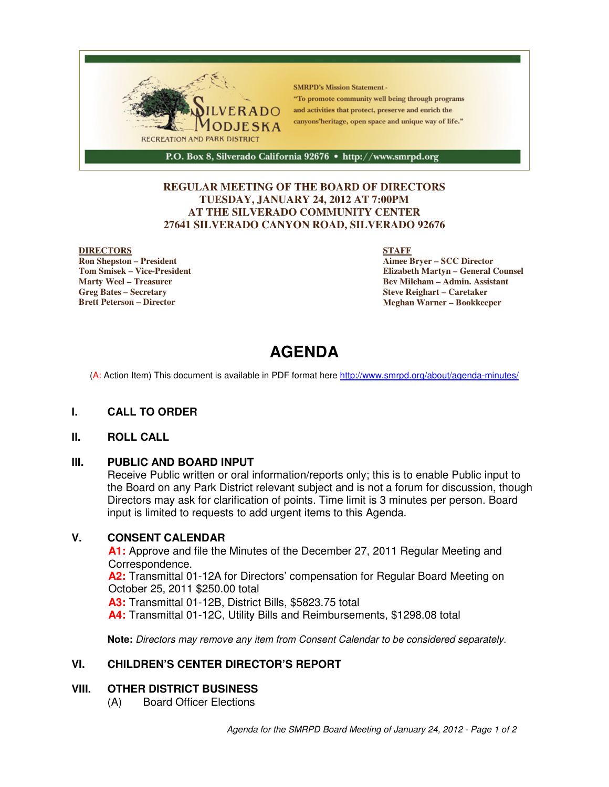

### **REGULAR MEETING OF THE BOARD OF DIRECTORS TUESDAY, JANUARY 24, 2012 AT 7:00PM AT THE SILVERADO COMMUNITY CENTER 27641 SILVERADO CANYON ROAD, SILVERADO 92676**

### **DIRECTORS**

**Ron Shepston – President Tom Smisek – Vice-President Marty Weel – Treasurer Greg Bates – Secretary Brett Peterson – Director**

### **STAFF**

**Aimee Bryer – SCC Director Elizabeth Martyn – General Counsel Bev Mileham – Admin. Assistant Steve Reighart – Caretaker Meghan Warner – Bookkeeper**

# **AGENDA**

(A: Action Item) This document is available in PDF format here http://www.smrpd.org/about/agenda-minutes/

### **I. CALL TO ORDER**

### **II. ROLL CALL**

### **III. PUBLIC AND BOARD INPUT**

Receive Public written or oral information/reports only; this is to enable Public input to the Board on any Park District relevant subject and is not a forum for discussion, though Directors may ask for clarification of points. Time limit is 3 minutes per person. Board input is limited to requests to add urgent items to this Agenda.

### **V. CONSENT CALENDAR**

**A1:** Approve and file the Minutes of the December 27, 2011 Regular Meeting and Correspondence.

**A2:** Transmittal 01-12A for Directors' compensation for Regular Board Meeting on October 25, 2011 \$250.00 total

**A3:** Transmittal 01-12B, District Bills, \$5823.75 total

**A4:** Transmittal 01-12C, Utility Bills and Reimbursements, \$1298.08 total

**Note:** Directors may remove any item from Consent Calendar to be considered separately.

### **VI. CHILDREN'S CENTER DIRECTOR'S REPORT**

### **VIII. OTHER DISTRICT BUSINESS**

(A) Board Officer Elections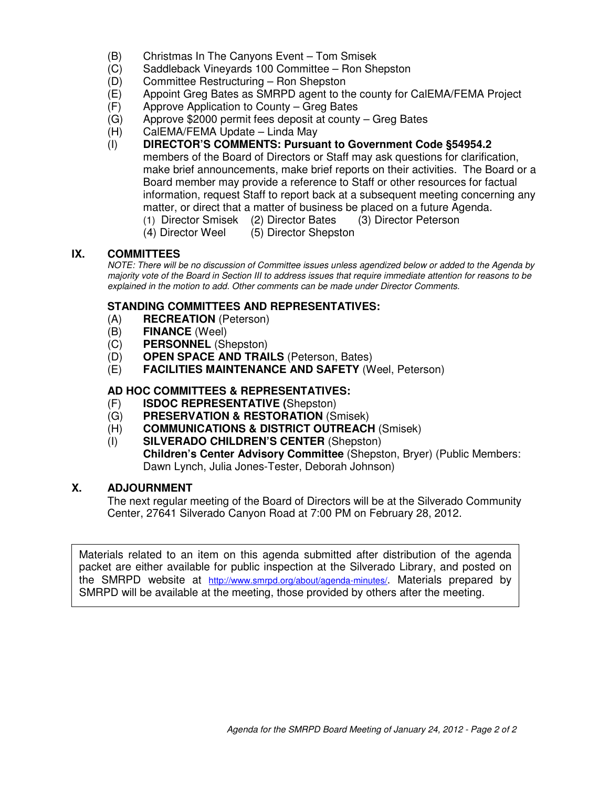- (B) Christmas In The Canyons Event Tom Smisek
- (C) Saddleback Vineyards 100 Committee Ron Shepston
- (D) Committee Restructuring Ron Shepston
- (E) Appoint Greg Bates as SMRPD agent to the county for CalEMA/FEMA Project
- (F) Approve Application to County Greg Bates
- (G) Approve \$2000 permit fees deposit at county Greg Bates
- (H) CalEMA/FEMA Update Linda May
- (I) **DIRECTOR'S COMMENTS: Pursuant to Government Code §54954.2** members of the Board of Directors or Staff may ask questions for clarification, make brief announcements, make brief reports on their activities. The Board or a Board member may provide a reference to Staff or other resources for factual information, request Staff to report back at a subsequent meeting concerning any matter, or direct that a matter of business be placed on a future Agenda.
	- (1) Director Smisek (2) Director Bates (3) Director Peterson
	- (4) Director Weel (5) Director Shepston

### **IX. COMMITTEES**

NOTE: There will be no discussion of Committee issues unless agendized below or added to the Agenda by majority vote of the Board in Section III to address issues that require immediate attention for reasons to be explained in the motion to add. Other comments can be made under Director Comments.

### **STANDING COMMITTEES AND REPRESENTATIVES:**

- (A) **RECREATION** (Peterson)
- (B) **FINANCE** (Weel)
- (C) **PERSONNEL** (Shepston)
- (D) **OPEN SPACE AND TRAILS** (Peterson, Bates)
- (E) **FACILITIES MAINTENANCE AND SAFETY** (Weel, Peterson)

### **AD HOC COMMITTEES & REPRESENTATIVES:**

- (F) **ISDOC REPRESENTATIVE (**Shepston)
- (G) **PRESERVATION & RESTORATION** (Smisek)
- (H) **COMMUNICATIONS & DISTRICT OUTREACH** (Smisek)
- (I) **SILVERADO CHILDREN'S CENTER** (Shepston) **Children's Center Advisory Committee** (Shepston, Bryer) (Public Members: Dawn Lynch, Julia Jones-Tester, Deborah Johnson)

### **X. ADJOURNMENT**

The next regular meeting of the Board of Directors will be at the Silverado Community Center, 27641 Silverado Canyon Road at 7:00 PM on February 28, 2012.

Materials related to an item on this agenda submitted after distribution of the agenda packet are either available for public inspection at the Silverado Library, and posted on the SMRPD website at http://www.smrpd.org/about/agenda-minutes/. Materials prepared by SMRPD will be available at the meeting, those provided by others after the meeting.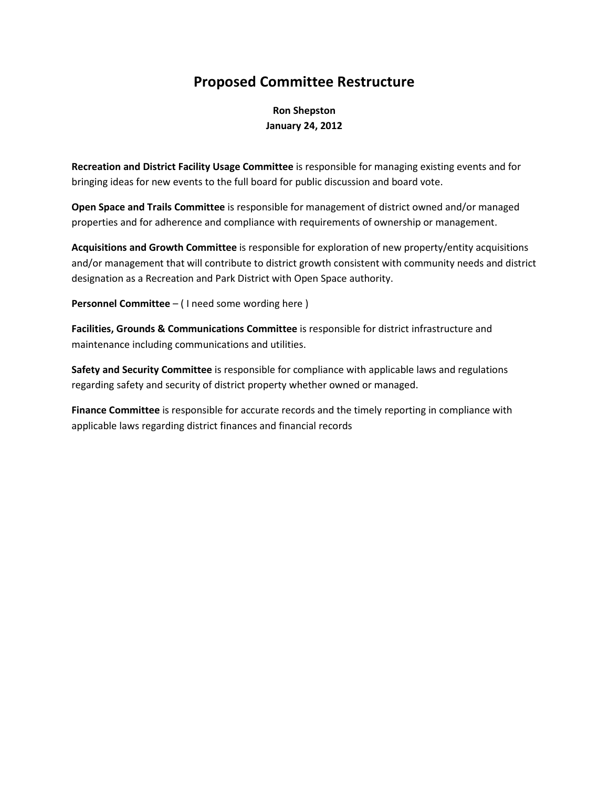# Proposed Committee Restructure

Ron Shepston January 24, 2012

Recreation and District Facility Usage Committee is responsible for managing existing events and for bringing ideas for new events to the full board for public discussion and board vote.

Open Space and Trails Committee is responsible for management of district owned and/or managed properties and for adherence and compliance with requirements of ownership or management.

Acquisitions and Growth Committee is responsible for exploration of new property/entity acquisitions and/or management that will contribute to district growth consistent with community needs and district designation as a Recreation and Park District with Open Space authority.

Personnel Committee – ( I need some wording here )

Facilities, Grounds & Communications Committee is responsible for district infrastructure and maintenance including communications and utilities.

Safety and Security Committee is responsible for compliance with applicable laws and regulations regarding safety and security of district property whether owned or managed.

Finance Committee is responsible for accurate records and the timely reporting in compliance with applicable laws regarding district finances and financial records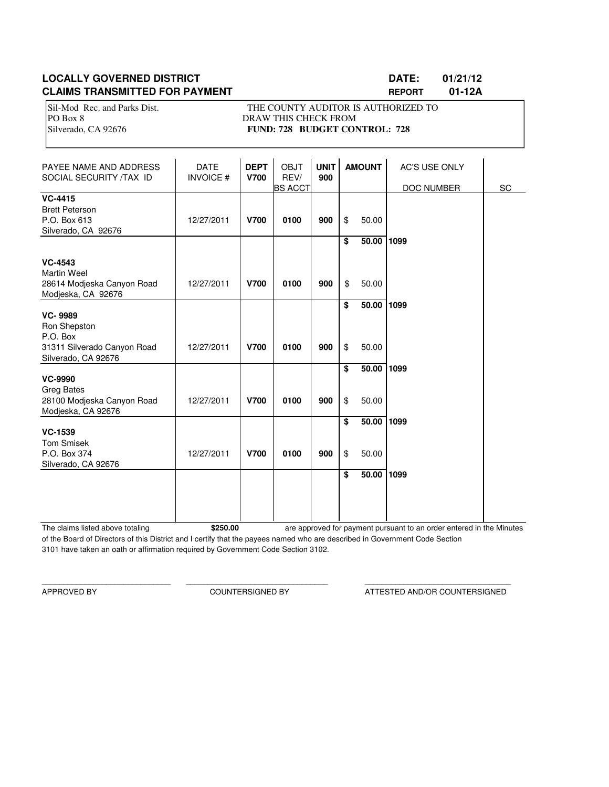## **LOCALLY GOVERNED DISTRICT DATE: 01/21/12 CLAIMS TRANSMITTED FOR PAYMENT REPORT 01-12A**

Sil-Mod Rec. and Parks Dist. THE COUNTY AUDITOR IS AUTHORIZED TO PO Box 8 DRAW THIS CHECK FROM Silverado, CA 92676 **FUND: 728 BUDGET CONTROL: 728** 

| PAYEE NAME AND ADDRESS<br>SOCIAL SECURITY /TAX ID                                       | <b>DATE</b><br><b>INVOICE#</b> | <b>DEPT</b><br><b>V700</b> | <b>OBJT</b><br>REV/<br><b>BS ACCT</b> | <b>UNIT</b><br>900 | <b>AMOUNT</b> |                | AC'S USE ONLY<br>DOC NUMBER | SC |
|-----------------------------------------------------------------------------------------|--------------------------------|----------------------------|---------------------------------------|--------------------|---------------|----------------|-----------------------------|----|
| <b>VC-4415</b><br><b>Brett Peterson</b><br>P.O. Box 613<br>Silverado, CA 92676          | 12/27/2011                     | <b>V700</b>                | 0100                                  | 900                | \$            | 50.00          |                             |    |
| <b>VC-4543</b>                                                                          |                                |                            |                                       |                    | \$            | 50.00          | 1099                        |    |
| <b>Martin Weel</b><br>28614 Modjeska Canyon Road<br>Modjeska, CA 92676                  | 12/27/2011                     | <b>V700</b>                | 0100                                  | 900                | \$            | 50.00          |                             |    |
| <b>VC-9989</b><br>Ron Shepston<br>P.O. Box<br>31311 Silverado Canyon Road               | 12/27/2011                     | <b>V700</b>                | 0100                                  | 900                | \$<br>\$      | 50.00<br>50.00 | 1099                        |    |
| Silverado, CA 92676                                                                     |                                |                            |                                       |                    | \$            | 50.00          | 1099                        |    |
| <b>VC-9990</b><br><b>Greg Bates</b><br>28100 Modjeska Canyon Road<br>Modjeska, CA 92676 | 12/27/2011                     | <b>V700</b>                | 0100                                  | 900                | \$            | 50.00          |                             |    |
| <b>VC-1539</b><br><b>Tom Smisek</b><br>P.O. Box 374<br>Silverado, CA 92676              | 12/27/2011                     | <b>V700</b>                | 0100                                  | 900                | \$<br>\$      | 50.00<br>50.00 | 1099                        |    |
|                                                                                         |                                |                            |                                       |                    | \$            | 50.00          | 1099                        |    |

The claims listed above totaling **\$250.00** of the Board of Directors of this District and I certify that the payees named who are described in Government Code Section 3101 have taken an oath or affirmation required by Government Code Section 3102. are approved for payment pursuant to an order entered in the Minutes

\_\_\_\_\_\_\_\_\_\_\_\_\_\_\_\_\_\_\_\_\_\_\_\_\_\_\_\_\_\_ \_\_\_\_\_\_\_\_\_\_\_\_\_\_\_\_\_\_\_\_\_\_\_\_\_\_\_\_\_\_\_\_\_ \_\_\_\_\_\_\_\_\_\_\_\_\_\_\_\_\_\_\_\_\_\_\_\_\_\_\_\_\_\_\_\_\_\_

APPROVED BY COUNTERSIGNED BY ATTESTED AND/OR COUNTERSIGNED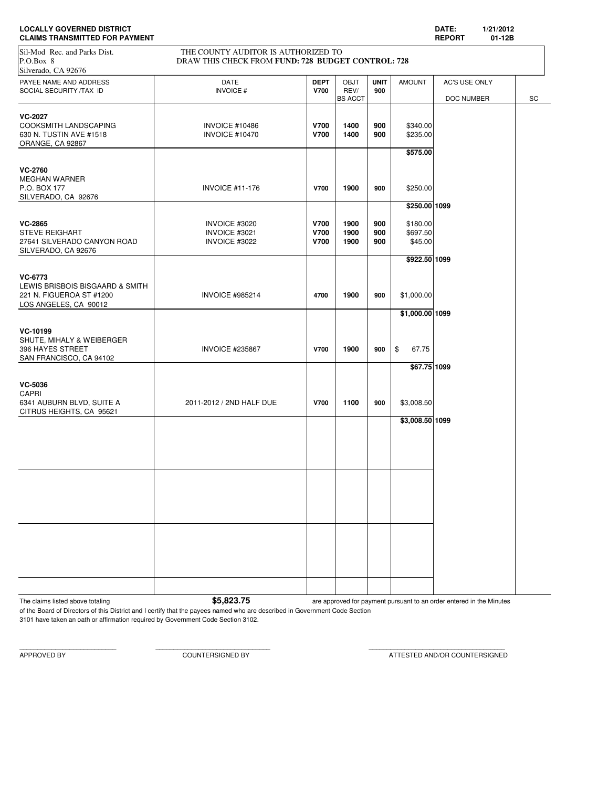| <b>LOCALLY GOVERNED DISTRICT</b>      | <b>DATE</b>   | 1/21/2012 |
|---------------------------------------|---------------|-----------|
| <b>CLAIMS TRANSMITTED FOR PAYMENT</b> | <b>REPORT</b> | 01-12B    |

| <b>CLAIMS TRANSMITTED FOR PAYMENT</b>                                                           |                                                                                           |                                    |                                       |                    |                                  | <b>REPORT</b>               | 01-12B |  |  |
|-------------------------------------------------------------------------------------------------|-------------------------------------------------------------------------------------------|------------------------------------|---------------------------------------|--------------------|----------------------------------|-----------------------------|--------|--|--|
| Sil-Mod Rec. and Parks Dist.<br>P.O.Box 8<br>Silverado, CA 92676                                | THE COUNTY AUDITOR IS AUTHORIZED TO<br>DRAW THIS CHECK FROM FUND: 728 BUDGET CONTROL: 728 |                                    |                                       |                    |                                  |                             |        |  |  |
| PAYEE NAME AND ADDRESS<br>SOCIAL SECURITY /TAX ID                                               | DATE<br><b>INVOICE#</b>                                                                   | <b>DEPT</b><br><b>V700</b>         | <b>OBJT</b><br>REV/<br><b>BS ACCT</b> | <b>UNIT</b><br>900 | <b>AMOUNT</b>                    | AC'S USE ONLY<br>DOC NUMBER | SC     |  |  |
| <b>VC-2027</b><br>COOKSMITH LANDSCAPING<br>630 N. TUSTIN AVE #1518<br>ORANGE, CA 92867          | <b>INVOICE #10486</b><br><b>INVOICE #10470</b>                                            | <b>V700</b><br><b>V700</b>         | 1400<br>1400                          | 900<br>900         | \$340.00<br>\$235.00<br>\$575.00 |                             |        |  |  |
| <b>VC-2760</b><br><b>MEGHAN WARNER</b><br>P.O. BOX 177<br>SILVERADO, CA 92676                   | <b>INVOICE #11-176</b>                                                                    | <b>V700</b>                        | 1900                                  | 900                | \$250.00<br>\$250.00 1099        |                             |        |  |  |
| <b>VC-2865</b><br><b>STEVE REIGHART</b><br>27641 SILVERADO CANYON ROAD<br>SILVERADO, CA 92676   | INVOICE #3020<br>INVOICE #3021<br>INVOICE #3022                                           | V700<br><b>V700</b><br><b>V700</b> | 1900<br>1900<br>1900                  | 900<br>900<br>900  | \$180.00<br>\$697.50<br>\$45.00  |                             |        |  |  |
| VC-6773<br>LEWIS BRISBOIS BISGAARD & SMITH<br>221 N. FIGUEROA ST #1200<br>LOS ANGELES, CA 90012 | <b>INVOICE #985214</b>                                                                    | 4700                               | 1900                                  | 900                | \$922.50 1099<br>\$1,000.00      |                             |        |  |  |
| VC-10199<br>SHUTE, MIHALY & WEIBERGER<br>396 HAYES STREET<br>SAN FRANCISCO, CA 94102            | <b>INVOICE #235867</b>                                                                    | <b>V700</b>                        | 1900                                  | 900                | \$1,000.00 1099<br>\$<br>67.75   |                             |        |  |  |
| <b>VC-5036</b>                                                                                  |                                                                                           |                                    |                                       |                    | \$67.75 1099                     |                             |        |  |  |
| CAPRI<br>6341 AUBURN BLVD, SUITE A<br>CITRUS HEIGHTS, CA 95621                                  | 2011-2012 / 2ND HALF DUE                                                                  | <b>V700</b>                        | 1100                                  | 900                | \$3,008.50<br>\$3,008.50 1099    |                             |        |  |  |
|                                                                                                 |                                                                                           |                                    |                                       |                    |                                  |                             |        |  |  |
|                                                                                                 |                                                                                           |                                    |                                       |                    |                                  |                             |        |  |  |
|                                                                                                 |                                                                                           |                                    |                                       |                    |                                  |                             |        |  |  |
|                                                                                                 |                                                                                           |                                    |                                       |                    |                                  |                             |        |  |  |
|                                                                                                 |                                                                                           |                                    |                                       |                    |                                  |                             |        |  |  |

The claims listed above totaling **1998 are approved for payment pursuant to an order entered in the Minutes** 

of the Board of Directors of this District and I certify that the payees named who are described in Government Code Section 3101 have taken an oath or affirmation required by Government Code Section 3102.

APPROVED BY COUNTERSIGNED BY ATTESTED AND/OR COUNTERSIGNED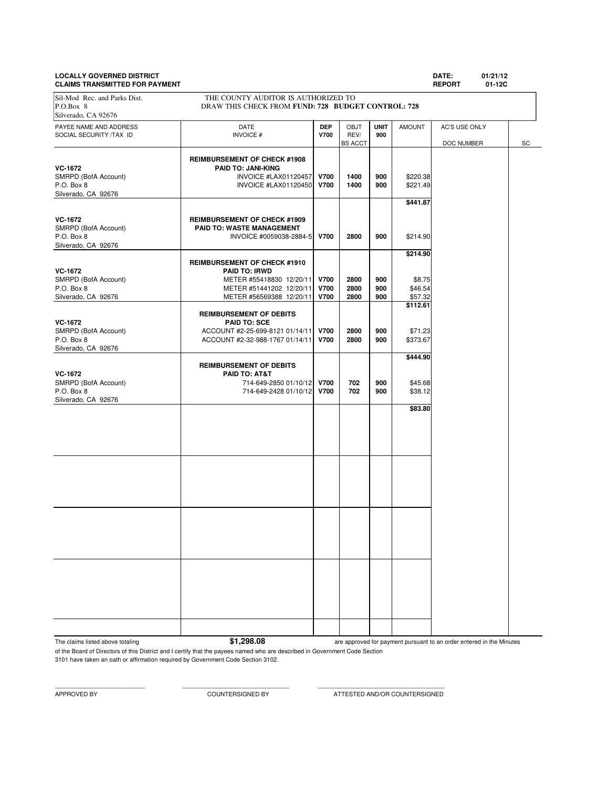### **LOCALLY GOVERNED DISTRICT DATE: 01/21/12 CLAIMS TRANSMITTED FOR PAYMENT REPORT 01-12C**

PAYEE NAME AND ADDRESS **DATE DEP** OBJT **UNIT** AMOUNT AC'S USE ONLY SOCIAL SECURITY /TAX ID **INVOICE # V700** REV/ **900 REV/ 900 BS** ACCT DOC NUMBER SC **REIMBURSEMENT OF CHECK #1908 VC-1672**<br> **PAID TO: JANI-KING**<br>
INVOICE #LAX01120457 SMRPD (BofA Account) **INVOICE #LAX01120457 V700** 1400 900 \$220.38<br>P.O. Box 8 **INVOICE #LAX01120450 V700** 1400 900 \$221.49 P.O. Box 8 **INVOICE #LAX01120450 V700** 1400 900 Silverado, CA 92676 **\$441.87 VC-1672 REIMBURSEMENT OF CHECK #1909**<br> **REIMBURSEMENT C: WASTE MANAGEMENT** SMRPD (BofA Account) **PAID TO: WASTE MANAGEMENT**<br>P.O. Box 8 **PAID TO: WASTE MANAGEMENT**<br>INVOICE #0059038-288 P.O. Box 8 INVOICE #0059038-2884-5 **V700 2800 900** \$214.90 Silverado, CA 92676 **\$214.90 REIMBURSEMENT OF CHECK #1910 VC-1672 PAID TO: IRWD** SMRPD (BofA Account) **METER #55418830 12/20/11 V700 2800 900** \$8.75<br>P.O. Box 8 654 **METER #51441202 12/20/11 V700 2800 900** \$46.54 P.O. Box 8 METER #51441202 12/20/11 **V700 2800 900 \$46.54**<br>Silverado, CA 92676 METER #56569388 12/20/11 **V700 2800 900** \$57.32 METER #56569388 12/20/11 **\$112.61 REIMBURSEMENT OF DEBITS VC-1672 PAID TO: SCE** SMRPD (BofA Account)  $ACCOUNT$  #2-25-699-8121 01/14/11 **V700** 2800 900 \$71.23<br>P.O. Box 8 900 \$373.67 P.O. Box 8 ACCOUNT #2-32-988-1767 01/14/11 **V700 2800 900** \$373.67 Silverado, CA 92676 **\$444.90 REIMBURSEMENT OF DEBITS VC-1672 PAID TO: AT&T** SMRPD (BofA Account) 2000 114-649-2850 01/10/12 **V700 702 900** \$45.68<br>P.O. Box 8 702 900 \$38.12 P.O. Box 8 714-649-2428 01/10/12 **V700 702 900** \$38.12 Silverado, CA 92676 **\$83.80** Sil-Mod Rec. and Parks Dist. THE COUNTY AUDITOR IS AUTHORIZED TO P.O.Box 8 DRAW THIS CHECK FROM **FUND: 728 BUDGET CONTROL: 728** Silverado, CA 92676

The claims listed above totaling **\$1,298.08** 

are approved for payment pursuant to an order entered in the Minutes

of the Board of Directors of this District and I certify that the payees named who are described in Government Code Section 3101 have taken an oath or affirmation required by Government Code Section 3102.

APPROVED BY COUNTERSIGNED BY ATTESTED AND/OR COUNTERSIGNED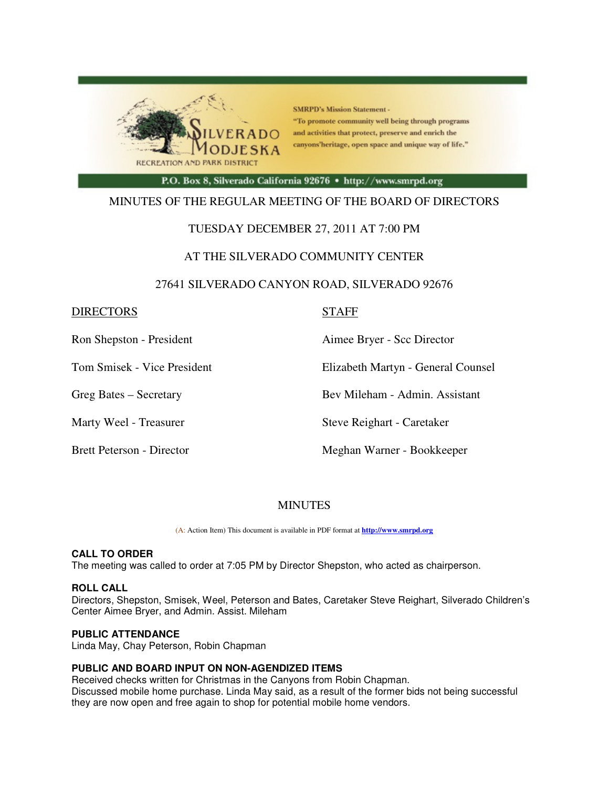

**SMRPD's Mission Statement -**"To promote community well being through programs and activities that protect, preserve and enrich the canyons'heritage, open space and unique way of life."

P.O. Box 8, Silverado California 92676 · http://www.smrpd.org

### MINUTES OF THE REGULAR MEETING OF THE BOARD OF DIRECTORS

### TUESDAY DECEMBER 27, 2011 AT 7:00 PM

### AT THE SILVERADO COMMUNITY CENTER

### 27641 SILVERADO CANYON ROAD, SILVERADO 92676

### DIRECTORS STAFF

Ron Shepston - President Aimee Bryer - Scc Director

Tom Smisek - Vice President Elizabeth Martyn - General Counsel

Greg Bates – Secretary Bev Mileham - Admin. Assistant

Marty Weel - Treasurer Steve Reighart - Caretaker

Brett Peterson - Director Meghan Warner - Bookkeeper

### MINUTES

(A: Action Item) This document is available in PDF format at **http://www.smrpd.org** 

### **CALL TO ORDER**

The meeting was called to order at 7:05 PM by Director Shepston, who acted as chairperson.

### **ROLL CALL**

Directors, Shepston, Smisek, Weel, Peterson and Bates, Caretaker Steve Reighart, Silverado Children's Center Aimee Bryer, and Admin. Assist. Mileham

### **PUBLIC ATTENDANCE**

Linda May, Chay Peterson, Robin Chapman

### **PUBLIC AND BOARD INPUT ON NON-AGENDIZED ITEMS**

Received checks written for Christmas in the Canyons from Robin Chapman. Discussed mobile home purchase. Linda May said, as a result of the former bids not being successful they are now open and free again to shop for potential mobile home vendors.